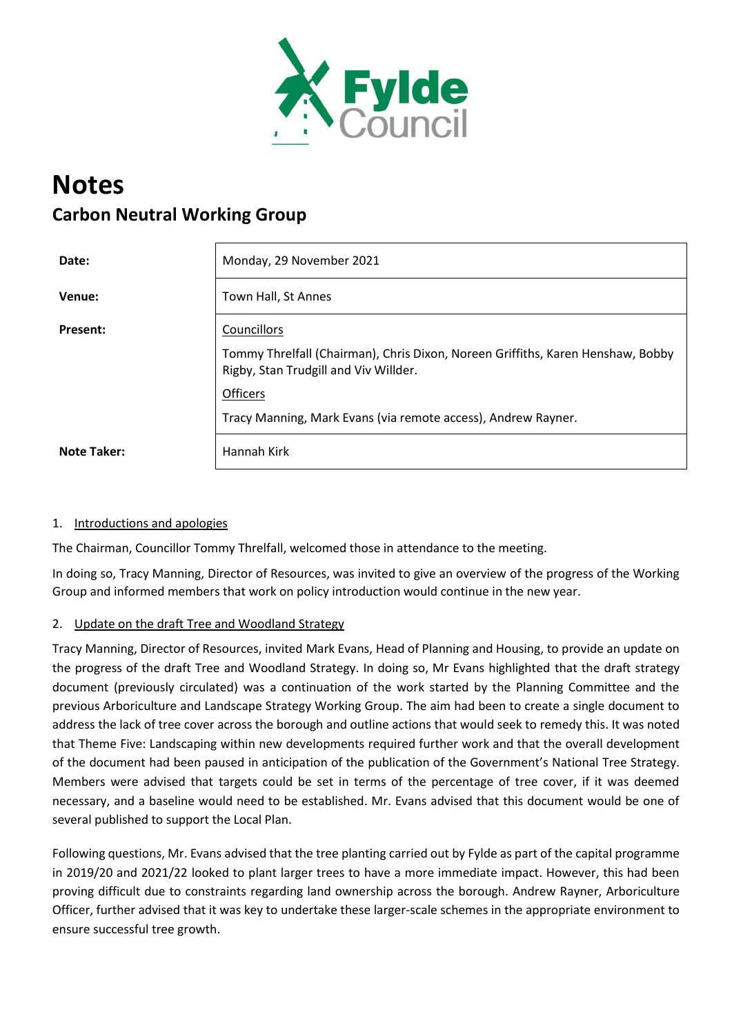

# **Notes Carbon Neutral Working Group**

| Date:              | Monday, 29 November 2021                                                                                                 |
|--------------------|--------------------------------------------------------------------------------------------------------------------------|
| Venue:             | Town Hall, St Annes                                                                                                      |
| <b>Present:</b>    | Councillors                                                                                                              |
|                    | Tommy Threlfall (Chairman), Chris Dixon, Noreen Griffiths, Karen Henshaw, Bobby<br>Rigby, Stan Trudgill and Viv Willder. |
|                    | <b>Officers</b>                                                                                                          |
|                    | Tracy Manning, Mark Evans (via remote access), Andrew Rayner.                                                            |
| <b>Note Taker:</b> | Hannah Kirk                                                                                                              |

## 1. Introductions and apologies

The Chairman, Councillor Tommy Threlfall, welcomed those in attendance to the meeting.

In doing so, Tracy Manning, Director of Resources, was invited to give an overview of the progress of the Working Group and informed members that work on policy introduction would continue in the new year.

### 2. Update on the draft Tree and Woodland Strategy

Tracy Manning, Director of Resources, invited Mark Evans, Head of Planning and Housing, to provide an update on the progress of the draft Tree and Woodland Strategy. In doing so, Mr Evans highlighted that the draft strategy document (previously circulated) was a continuation of the work started by the Planning Committee and the previous Arboriculture and Landscape Strategy Working Group. The aim had been to create a single document to address the lack of tree cover across the borough and outline actions that would seek to remedy this. It was noted that Theme Five: Landscaping within new developments required further work and that the overall development of the document had been paused in anticipation of the publication of the Government's National Tree Strategy. Members were advised that targets could be set in terms of the percentage of tree cover, if it was deemed necessary, and a baseline would need to be established. Mr. Evans advised that this document would be one of several published to support the Local Plan.

Following questions, Mr. Evans advised that the tree planting carried out by Fylde as part of the capital programme in 2019/20 and 2021/22 looked to plant larger trees to have a more immediate impact. However, this had been proving difficult due to constraints regarding land ownership across the borough. Andrew Rayner, Arboriculture Officer, further advised that it was key to undertake these larger-scale schemes in the appropriate environment to ensure successful tree growth.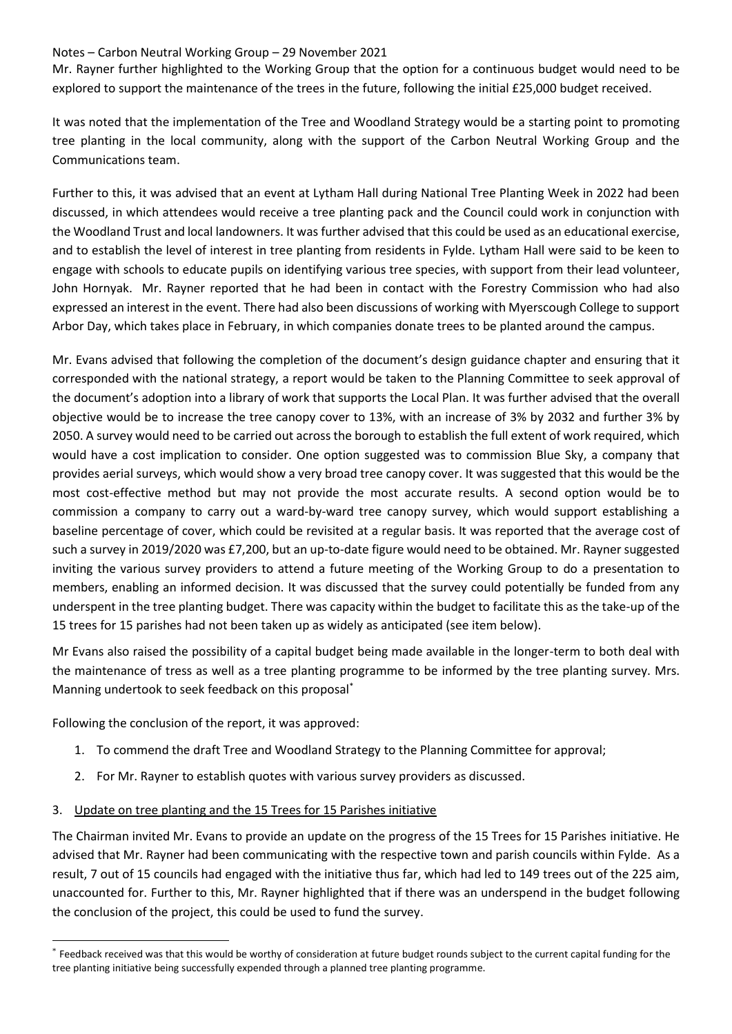#### Notes – Carbon Neutral Working Group – 29 November 2021

Mr. Rayner further highlighted to the Working Group that the option for a continuous budget would need to be explored to support the maintenance of the trees in the future, following the initial £25,000 budget received.

It was noted that the implementation of the Tree and Woodland Strategy would be a starting point to promoting tree planting in the local community, along with the support of the Carbon Neutral Working Group and the Communications team.

Further to this, it was advised that an event at Lytham Hall during National Tree Planting Week in 2022 had been discussed, in which attendees would receive a tree planting pack and the Council could work in conjunction with the Woodland Trust and local landowners. It was further advised that this could be used as an educational exercise, and to establish the level of interest in tree planting from residents in Fylde. Lytham Hall were said to be keen to engage with schools to educate pupils on identifying various tree species, with support from their lead volunteer, John Hornyak. Mr. Rayner reported that he had been in contact with the Forestry Commission who had also expressed an interest in the event. There had also been discussions of working with Myerscough College to support Arbor Day, which takes place in February, in which companies donate trees to be planted around the campus.

Mr. Evans advised that following the completion of the document's design guidance chapter and ensuring that it corresponded with the national strategy, a report would be taken to the Planning Committee to seek approval of the document's adoption into a library of work that supports the Local Plan. It was further advised that the overall objective would be to increase the tree canopy cover to 13%, with an increase of 3% by 2032 and further 3% by 2050. A survey would need to be carried out across the borough to establish the full extent of work required, which would have a cost implication to consider. One option suggested was to commission Blue Sky, a company that provides aerial surveys, which would show a very broad tree canopy cover. It was suggested that this would be the most cost-effective method but may not provide the most accurate results. A second option would be to commission a company to carry out a ward-by-ward tree canopy survey, which would support establishing a baseline percentage of cover, which could be revisited at a regular basis. It was reported that the average cost of such a survey in 2019/2020 was £7,200, but an up-to-date figure would need to be obtained. Mr. Rayner suggested inviting the various survey providers to attend a future meeting of the Working Group to do a presentation to members, enabling an informed decision. It was discussed that the survey could potentially be funded from any underspent in the tree planting budget. There was capacity within the budget to facilitate this as the take-up of the 15 trees for 15 parishes had not been taken up as widely as anticipated (see item below).

Mr Evans also raised the possibility of a capital budget being made available in the longer-term to both deal with the maintenance of tress as well as a tree planting programme to be informed by the tree planting survey. Mrs. Manning undertook to seek feedback on this proposal\*

Following the conclusion of the report, it was approved:

- 1. To commend the draft Tree and Woodland Strategy to the Planning Committee for approval;
- 2. For Mr. Rayner to establish quotes with various survey providers as discussed.
- 3. Update on tree planting and the 15 Trees for 15 Parishes initiative

The Chairman invited Mr. Evans to provide an update on the progress of the 15 Trees for 15 Parishes initiative. He advised that Mr. Rayner had been communicating with the respective town and parish councils within Fylde. As a result, 7 out of 15 councils had engaged with the initiative thus far, which had led to 149 trees out of the 225 aim, unaccounted for. Further to this, Mr. Rayner highlighted that if there was an underspend in the budget following the conclusion of the project, this could be used to fund the survey.

<sup>\*</sup> Feedback received was that this would be worthy of consideration at future budget rounds subject to the current capital funding for the tree planting initiative being successfully expended through a planned tree planting programme.